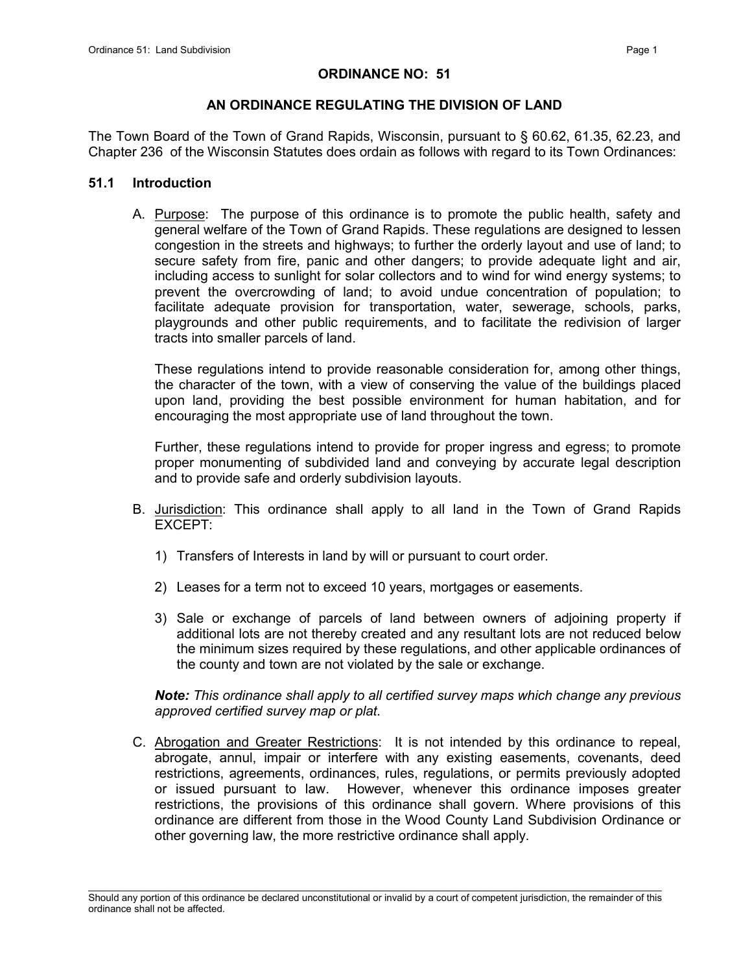#### ORDINANCE NO: 51

## AN ORDINANCE REGULATING THE DIVISION OF LAND

The Town Board of the Town of Grand Rapids, Wisconsin, pursuant to § 60.62, 61.35, 62.23, and Chapter 236 of the Wisconsin Statutes does ordain as follows with regard to its Town Ordinances:

#### 51.1 Introduction

A. Purpose: The purpose of this ordinance is to promote the public health, safety and general welfare of the Town of Grand Rapids. These regulations are designed to lessen congestion in the streets and highways; to further the orderly layout and use of land; to secure safety from fire, panic and other dangers; to provide adequate light and air, including access to sunlight for solar collectors and to wind for wind energy systems; to prevent the overcrowding of land; to avoid undue concentration of population; to facilitate adequate provision for transportation, water, sewerage, schools, parks, playgrounds and other public requirements, and to facilitate the redivision of larger tracts into smaller parcels of land.

These regulations intend to provide reasonable consideration for, among other things, the character of the town, with a view of conserving the value of the buildings placed upon land, providing the best possible environment for human habitation, and for encouraging the most appropriate use of land throughout the town.

Further, these regulations intend to provide for proper ingress and egress; to promote proper monumenting of subdivided land and conveying by accurate legal description and to provide safe and orderly subdivision layouts.

- B. Jurisdiction: This ordinance shall apply to all land in the Town of Grand Rapids EXCEPT:
	- 1) Transfers of Interests in land by will or pursuant to court order.
	- 2) Leases for a term not to exceed 10 years, mortgages or easements.
	- 3) Sale or exchange of parcels of land between owners of adjoining property if additional lots are not thereby created and any resultant lots are not reduced below the minimum sizes required by these regulations, and other applicable ordinances of the county and town are not violated by the sale or exchange.

*Note: This ordinance shall apply to all certified survey maps which change any previous approved certified survey map or plat.*

C. Abrogation and Greater Restrictions: It is not intended by this ordinance to repeal, abrogate, annul, impair or interfere with any existing easements, covenants, deed restrictions, agreements, ordinances, rules, regulations, or permits previously adopted or issued pursuant to law. However, whenever this ordinance imposes greater restrictions, the provisions of this ordinance shall govern. Where provisions of this ordinance are different from those in the Wood County Land Subdivision Ordinance or other governing law, the more restrictive ordinance shall apply.

\_\_\_\_\_\_\_\_\_\_\_\_\_\_\_\_\_\_\_\_\_\_\_\_\_\_\_\_\_\_\_\_\_\_\_\_\_\_\_\_\_\_\_\_\_\_\_\_\_\_\_\_\_\_\_\_\_\_\_\_\_\_\_\_\_\_\_\_\_\_\_\_\_\_\_\_\_\_\_\_\_\_\_\_\_\_\_\_\_\_\_\_\_\_\_\_\_\_\_\_\_\_\_\_\_ Should any portion of this ordinance be declared unconstitutional or invalid by a court of competent jurisdiction, the remainder of this ordinance shall not be affected.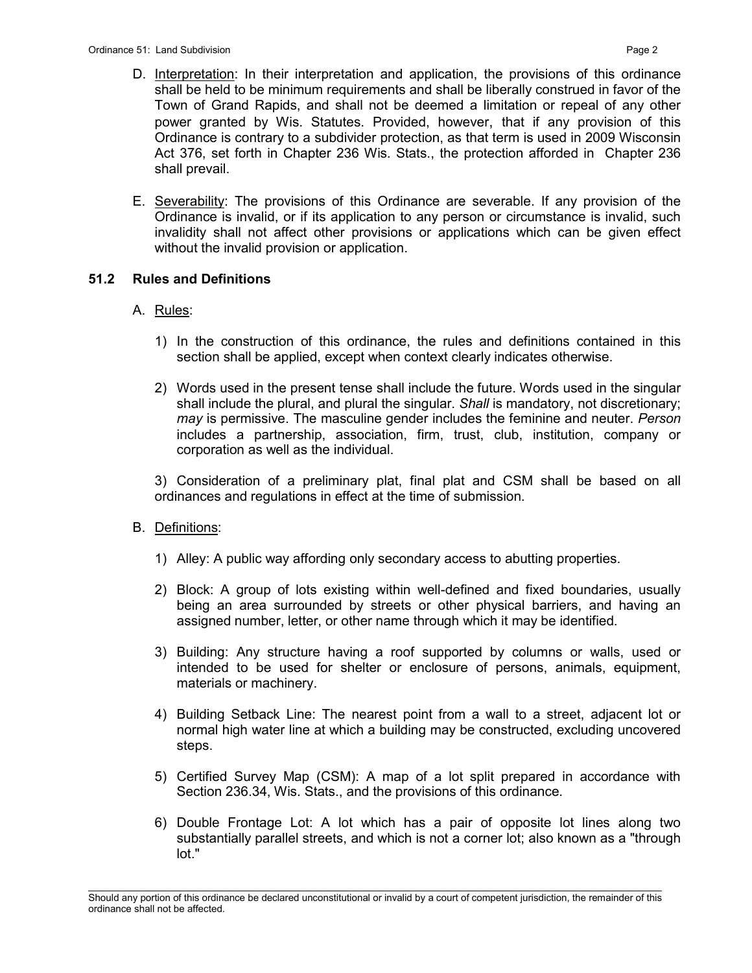- D. Interpretation: In their interpretation and application, the provisions of this ordinance shall be held to be minimum requirements and shall be liberally construed in favor of the Town of Grand Rapids, and shall not be deemed a limitation or repeal of any other power granted by Wis. Statutes. Provided, however, that if any provision of this Ordinance is contrary to a subdivider protection, as that term is used in 2009 Wisconsin Act 376, set forth in Chapter 236 Wis. Stats., the protection afforded in Chapter 236 shall prevail.
- E. Severability: The provisions of this Ordinance are severable. If any provision of the Ordinance is invalid, or if its application to any person or circumstance is invalid, such invalidity shall not affect other provisions or applications which can be given effect without the invalid provision or application.

#### 51.2 Rules and Definitions

#### A. Rules:

- 1) In the construction of this ordinance, the rules and definitions contained in this section shall be applied, except when context clearly indicates otherwise.
- 2) Words used in the present tense shall include the future. Words used in the singular shall include the plural, and plural the singular. *Shall* is mandatory, not discretionary; *may* is permissive. The masculine gender includes the feminine and neuter. *Person* includes a partnership, association, firm, trust, club, institution, company or corporation as well as the individual.

3) Consideration of a preliminary plat, final plat and CSM shall be based on all ordinances and regulations in effect at the time of submission.

- B. Definitions:
	- 1) Alley: A public way affording only secondary access to abutting properties.
	- 2) Block: A group of lots existing within well-defined and fixed boundaries, usually being an area surrounded by streets or other physical barriers, and having an assigned number, letter, or other name through which it may be identified.
	- 3) Building: Any structure having a roof supported by columns or walls, used or intended to be used for shelter or enclosure of persons, animals, equipment, materials or machinery.
	- 4) Building Setback Line: The nearest point from a wall to a street, adjacent lot or normal high water line at which a building may be constructed, excluding uncovered steps.
	- 5) Certified Survey Map (CSM): A map of a lot split prepared in accordance with Section 236.34, Wis. Stats., and the provisions of this ordinance.
	- 6) Double Frontage Lot: A lot which has a pair of opposite lot lines along two substantially parallel streets, and which is not a corner lot; also known as a "through lot."

\_\_\_\_\_\_\_\_\_\_\_\_\_\_\_\_\_\_\_\_\_\_\_\_\_\_\_\_\_\_\_\_\_\_\_\_\_\_\_\_\_\_\_\_\_\_\_\_\_\_\_\_\_\_\_\_\_\_\_\_\_\_\_\_\_\_\_\_\_\_\_\_\_\_\_\_\_\_\_\_\_\_\_\_\_\_\_\_\_\_\_\_\_\_\_\_\_\_\_\_\_\_\_\_\_ Should any portion of this ordinance be declared unconstitutional or invalid by a court of competent jurisdiction, the remainder of this ordinance shall not be affected.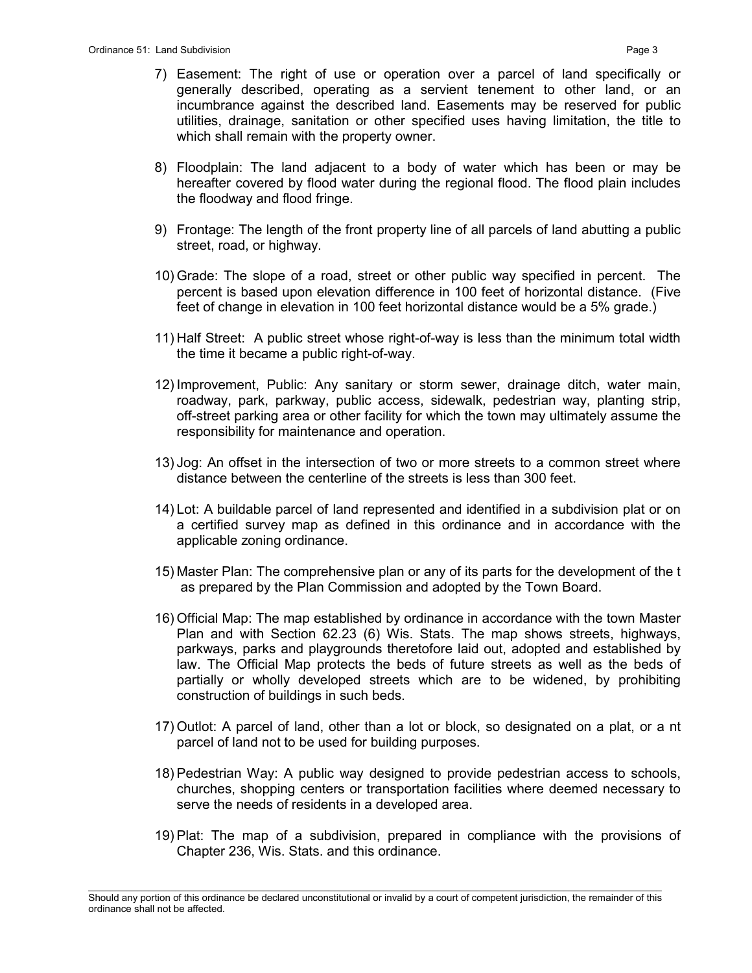- 7) Easement: The right of use or operation over a parcel of land specifically or generally described, operating as a servient tenement to other land, or an incumbrance against the described land. Easements may be reserved for public utilities, drainage, sanitation or other specified uses having limitation, the title to which shall remain with the property owner.
- 8) Floodplain: The land adjacent to a body of water which has been or may be hereafter covered by flood water during the regional flood. The flood plain includes the floodway and flood fringe.
- 9) Frontage: The length of the front property line of all parcels of land abutting a public street, road, or highway.
- 10) Grade: The slope of a road, street or other public way specified in percent. The percent is based upon elevation difference in 100 feet of horizontal distance. (Five feet of change in elevation in 100 feet horizontal distance would be a 5% grade.)
- 11) Half Street: A public street whose right-of-way is less than the minimum total width the time it became a public right-of-way.
- 12) Improvement, Public: Any sanitary or storm sewer, drainage ditch, water main, roadway, park, parkway, public access, sidewalk, pedestrian way, planting strip, off-street parking area or other facility for which the town may ultimately assume the responsibility for maintenance and operation.
- 13) Jog: An offset in the intersection of two or more streets to a common street where distance between the centerline of the streets is less than 300 feet.
- 14) Lot: A buildable parcel of land represented and identified in a subdivision plat or on a certified survey map as defined in this ordinance and in accordance with the applicable zoning ordinance.
- 15) Master Plan: The comprehensive plan or any of its parts for the development of the t as prepared by the Plan Commission and adopted by the Town Board.
- 16) Official Map: The map established by ordinance in accordance with the town Master Plan and with Section 62.23 (6) Wis. Stats. The map shows streets, highways, parkways, parks and playgrounds theretofore laid out, adopted and established by law. The Official Map protects the beds of future streets as well as the beds of partially or wholly developed streets which are to be widened, by prohibiting construction of buildings in such beds.
- 17) Outlot: A parcel of land, other than a lot or block, so designated on a plat, or a nt parcel of land not to be used for building purposes.
- 18) Pedestrian Way: A public way designed to provide pedestrian access to schools, churches, shopping centers or transportation facilities where deemed necessary to serve the needs of residents in a developed area.
- 19) Plat: The map of a subdivision, prepared in compliance with the provisions of Chapter 236, Wis. Stats. and this ordinance.

\_\_\_\_\_\_\_\_\_\_\_\_\_\_\_\_\_\_\_\_\_\_\_\_\_\_\_\_\_\_\_\_\_\_\_\_\_\_\_\_\_\_\_\_\_\_\_\_\_\_\_\_\_\_\_\_\_\_\_\_\_\_\_\_\_\_\_\_\_\_\_\_\_\_\_\_\_\_\_\_\_\_\_\_\_\_\_\_\_\_\_\_\_\_\_\_\_\_\_\_\_\_\_\_\_ Should any portion of this ordinance be declared unconstitutional or invalid by a court of competent jurisdiction, the remainder of this ordinance shall not be affected.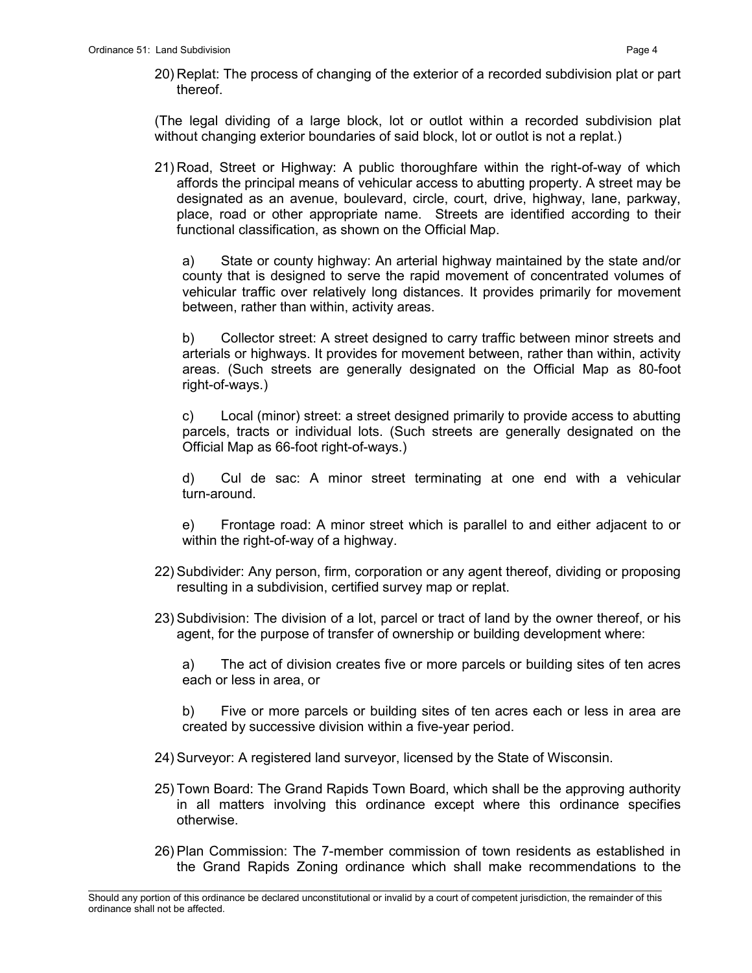(The legal dividing of a large block, lot or outlot within a recorded subdivision plat without changing exterior boundaries of said block, lot or outlot is not a replat.)

21) Road, Street or Highway: A public thoroughfare within the right-of-way of which affords the principal means of vehicular access to abutting property. A street may be designated as an avenue, boulevard, circle, court, drive, highway, lane, parkway, place, road or other appropriate name. Streets are identified according to their functional classification, as shown on the Official Map.

a) State or county highway: An arterial highway maintained by the state and/or county that is designed to serve the rapid movement of concentrated volumes of vehicular traffic over relatively long distances. It provides primarily for movement between, rather than within, activity areas.

b) Collector street: A street designed to carry traffic between minor streets and arterials or highways. It provides for movement between, rather than within, activity areas. (Such streets are generally designated on the Official Map as 80-foot right-of-ways.)

c) Local (minor) street: a street designed primarily to provide access to abutting parcels, tracts or individual lots. (Such streets are generally designated on the Official Map as 66-foot right-of-ways.)

d) Cul de sac: A minor street terminating at one end with a vehicular turn-around.

e) Frontage road: A minor street which is parallel to and either adjacent to or within the right-of-way of a highway.

- 22) Subdivider: Any person, firm, corporation or any agent thereof, dividing or proposing resulting in a subdivision, certified survey map or replat.
- 23) Subdivision: The division of a lot, parcel or tract of land by the owner thereof, or his agent, for the purpose of transfer of ownership or building development where:

a) The act of division creates five or more parcels or building sites of ten acres each or less in area, or

b) Five or more parcels or building sites of ten acres each or less in area are created by successive division within a five-year period.

- 24) Surveyor: A registered land surveyor, licensed by the State of Wisconsin.
- 25) Town Board: The Grand Rapids Town Board, which shall be the approving authority in all matters involving this ordinance except where this ordinance specifies otherwise.
- 26) Plan Commission: The 7-member commission of town residents as established in the Grand Rapids Zoning ordinance which shall make recommendations to the

\_\_\_\_\_\_\_\_\_\_\_\_\_\_\_\_\_\_\_\_\_\_\_\_\_\_\_\_\_\_\_\_\_\_\_\_\_\_\_\_\_\_\_\_\_\_\_\_\_\_\_\_\_\_\_\_\_\_\_\_\_\_\_\_\_\_\_\_\_\_\_\_\_\_\_\_\_\_\_\_\_\_\_\_\_\_\_\_\_\_\_\_\_\_\_\_\_\_\_\_\_\_\_\_\_ Should any portion of this ordinance be declared unconstitutional or invalid by a court of competent jurisdiction, the remainder of this ordinance shall not be affected.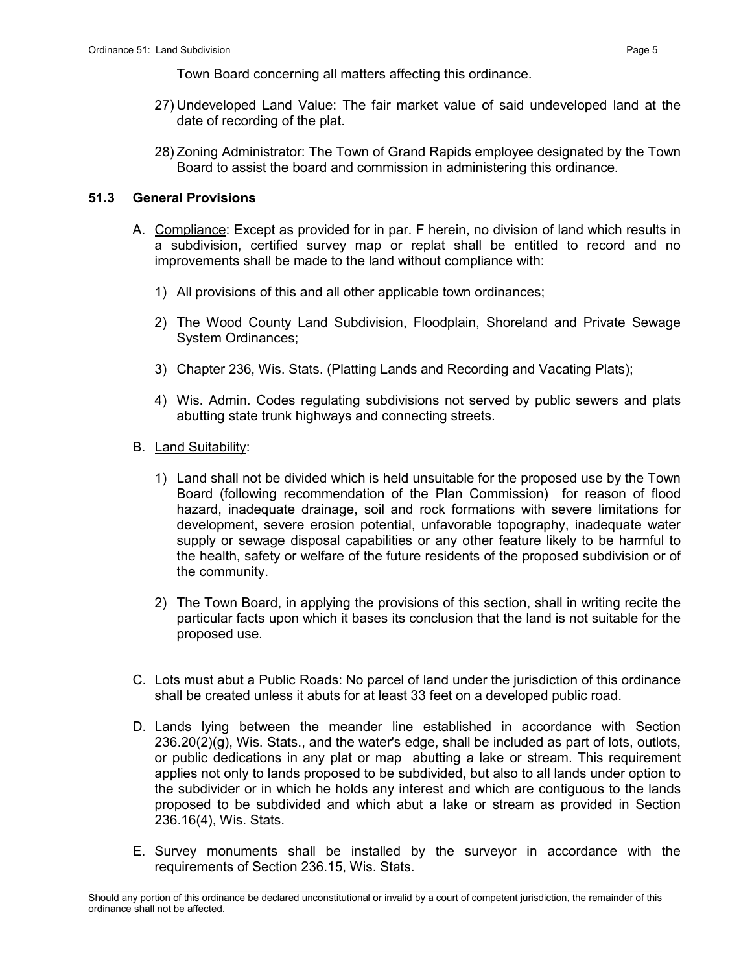Town Board concerning all matters affecting this ordinance.

- 27) Undeveloped Land Value: The fair market value of said undeveloped land at the date of recording of the plat.
- 28) Zoning Administrator: The Town of Grand Rapids employee designated by the Town Board to assist the board and commission in administering this ordinance.

#### 51.3 General Provisions

- A. Compliance: Except as provided for in par. F herein, no division of land which results in a subdivision, certified survey map or replat shall be entitled to record and no improvements shall be made to the land without compliance with:
	- 1) All provisions of this and all other applicable town ordinances;
	- 2) The Wood County Land Subdivision, Floodplain, Shoreland and Private Sewage System Ordinances;
	- 3) Chapter 236, Wis. Stats. (Platting Lands and Recording and Vacating Plats);
	- 4) Wis. Admin. Codes regulating subdivisions not served by public sewers and plats abutting state trunk highways and connecting streets.
- B. Land Suitability:
	- 1) Land shall not be divided which is held unsuitable for the proposed use by the Town Board (following recommendation of the Plan Commission) for reason of flood hazard, inadequate drainage, soil and rock formations with severe limitations for development, severe erosion potential, unfavorable topography, inadequate water supply or sewage disposal capabilities or any other feature likely to be harmful to the health, safety or welfare of the future residents of the proposed subdivision or of the community.
	- 2) The Town Board, in applying the provisions of this section, shall in writing recite the particular facts upon which it bases its conclusion that the land is not suitable for the proposed use.
- C. Lots must abut a Public Roads: No parcel of land under the jurisdiction of this ordinance shall be created unless it abuts for at least 33 feet on a developed public road.
- D. Lands lying between the meander line established in accordance with Section 236.20(2)(g), Wis. Stats., and the water's edge, shall be included as part of lots, outlots, or public dedications in any plat or map abutting a lake or stream. This requirement applies not only to lands proposed to be subdivided, but also to all lands under option to the subdivider or in which he holds any interest and which are contiguous to the lands proposed to be subdivided and which abut a lake or stream as provided in Section 236.16(4), Wis. Stats.
- E. Survey monuments shall be installed by the surveyor in accordance with the requirements of Section 236.15, Wis. Stats.

\_\_\_\_\_\_\_\_\_\_\_\_\_\_\_\_\_\_\_\_\_\_\_\_\_\_\_\_\_\_\_\_\_\_\_\_\_\_\_\_\_\_\_\_\_\_\_\_\_\_\_\_\_\_\_\_\_\_\_\_\_\_\_\_\_\_\_\_\_\_\_\_\_\_\_\_\_\_\_\_\_\_\_\_\_\_\_\_\_\_\_\_\_\_\_\_\_\_\_\_\_\_\_\_\_ Should any portion of this ordinance be declared unconstitutional or invalid by a court of competent jurisdiction, the remainder of this ordinance shall not be affected.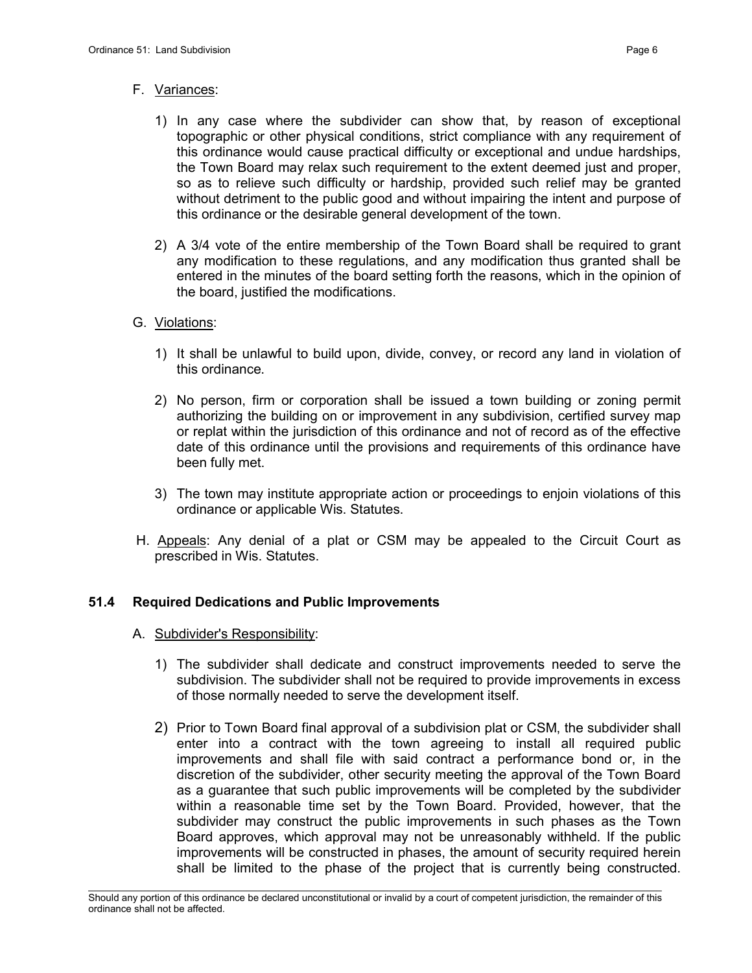## F. Variances:

- 1) In any case where the subdivider can show that, by reason of exceptional topographic or other physical conditions, strict compliance with any requirement of this ordinance would cause practical difficulty or exceptional and undue hardships, the Town Board may relax such requirement to the extent deemed just and proper, so as to relieve such difficulty or hardship, provided such relief may be granted without detriment to the public good and without impairing the intent and purpose of this ordinance or the desirable general development of the town.
- 2) A 3/4 vote of the entire membership of the Town Board shall be required to grant any modification to these regulations, and any modification thus granted shall be entered in the minutes of the board setting forth the reasons, which in the opinion of the board, justified the modifications.

# G. Violations:

- 1) It shall be unlawful to build upon, divide, convey, or record any land in violation of this ordinance.
- 2) No person, firm or corporation shall be issued a town building or zoning permit authorizing the building on or improvement in any subdivision, certified survey map or replat within the jurisdiction of this ordinance and not of record as of the effective date of this ordinance until the provisions and requirements of this ordinance have been fully met.
- 3) The town may institute appropriate action or proceedings to enjoin violations of this ordinance or applicable Wis. Statutes.
- H. Appeals: Any denial of a plat or CSM may be appealed to the Circuit Court as prescribed in Wis. Statutes.

# 51.4 Required Dedications and Public Improvements

- A. Subdivider's Responsibility:
	- 1) The subdivider shall dedicate and construct improvements needed to serve the subdivision. The subdivider shall not be required to provide improvements in excess of those normally needed to serve the development itself.
	- 2) Prior to Town Board final approval of a subdivision plat or CSM, the subdivider shall enter into a contract with the town agreeing to install all required public improvements and shall file with said contract a performance bond or, in the discretion of the subdivider, other security meeting the approval of the Town Board as a guarantee that such public improvements will be completed by the subdivider within a reasonable time set by the Town Board. Provided, however, that the subdivider may construct the public improvements in such phases as the Town Board approves, which approval may not be unreasonably withheld. If the public improvements will be constructed in phases, the amount of security required herein shall be limited to the phase of the project that is currently being constructed.

\_\_\_\_\_\_\_\_\_\_\_\_\_\_\_\_\_\_\_\_\_\_\_\_\_\_\_\_\_\_\_\_\_\_\_\_\_\_\_\_\_\_\_\_\_\_\_\_\_\_\_\_\_\_\_\_\_\_\_\_\_\_\_\_\_\_\_\_\_\_\_\_\_\_\_\_\_\_\_\_\_\_\_\_\_\_\_\_\_\_\_\_\_\_\_\_\_\_\_\_\_\_\_\_\_ Should any portion of this ordinance be declared unconstitutional or invalid by a court of competent jurisdiction, the remainder of this ordinance shall not be affected.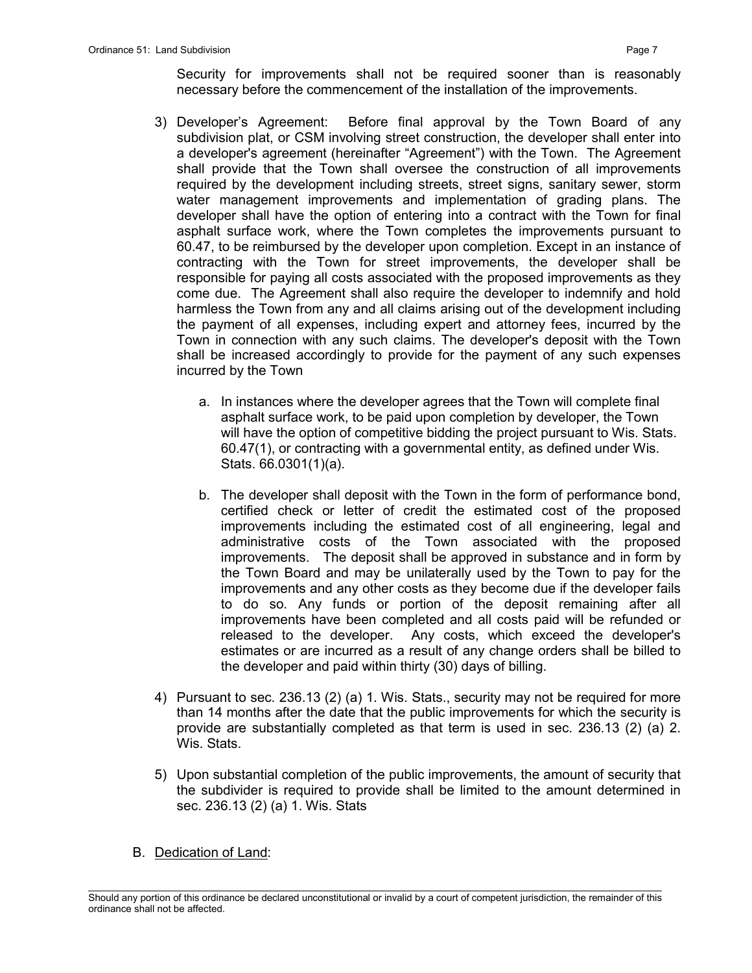Security for improvements shall not be required sooner than is reasonably necessary before the commencement of the installation of the improvements.

- 3) Developer's Agreement: Before final approval by the Town Board of any subdivision plat, or CSM involving street construction, the developer shall enter into a developer's agreement (hereinafter "Agreement") with the Town. The Agreement shall provide that the Town shall oversee the construction of all improvements required by the development including streets, street signs, sanitary sewer, storm water management improvements and implementation of grading plans. The developer shall have the option of entering into a contract with the Town for final asphalt surface work, where the Town completes the improvements pursuant to 60.47, to be reimbursed by the developer upon completion. Except in an instance of contracting with the Town for street improvements, the developer shall be responsible for paying all costs associated with the proposed improvements as they come due. The Agreement shall also require the developer to indemnify and hold harmless the Town from any and all claims arising out of the development including the payment of all expenses, including expert and attorney fees, incurred by the Town in connection with any such claims. The developer's deposit with the Town shall be increased accordingly to provide for the payment of any such expenses incurred by the Town
	- a. In instances where the developer agrees that the Town will complete final asphalt surface work, to be paid upon completion by developer, the Town will have the option of competitive bidding the project pursuant to Wis. Stats. 60.47(1), or contracting with a governmental entity, as defined under Wis. Stats. 66.0301(1)(a).
	- b. The developer shall deposit with the Town in the form of performance bond, certified check or letter of credit the estimated cost of the proposed improvements including the estimated cost of all engineering, legal and administrative costs of the Town associated with the proposed improvements. The deposit shall be approved in substance and in form by the Town Board and may be unilaterally used by the Town to pay for the improvements and any other costs as they become due if the developer fails to do so. Any funds or portion of the deposit remaining after all improvements have been completed and all costs paid will be refunded or released to the developer. Any costs, which exceed the developer's estimates or are incurred as a result of any change orders shall be billed to the developer and paid within thirty (30) days of billing.
- 4) Pursuant to sec. 236.13 (2) (a) 1. Wis. Stats., security may not be required for more than 14 months after the date that the public improvements for which the security is provide are substantially completed as that term is used in sec. 236.13 (2) (a) 2. Wis. Stats.
- 5) Upon substantial completion of the public improvements, the amount of security that the subdivider is required to provide shall be limited to the amount determined in sec. 236.13 (2) (a) 1. Wis. Stats
- B. Dedication of Land:

\_\_\_\_\_\_\_\_\_\_\_\_\_\_\_\_\_\_\_\_\_\_\_\_\_\_\_\_\_\_\_\_\_\_\_\_\_\_\_\_\_\_\_\_\_\_\_\_\_\_\_\_\_\_\_\_\_\_\_\_\_\_\_\_\_\_\_\_\_\_\_\_\_\_\_\_\_\_\_\_\_\_\_\_\_\_\_\_\_\_\_\_\_\_\_\_\_\_\_\_\_\_\_\_\_ Should any portion of this ordinance be declared unconstitutional or invalid by a court of competent jurisdiction, the remainder of this ordinance shall not be affected.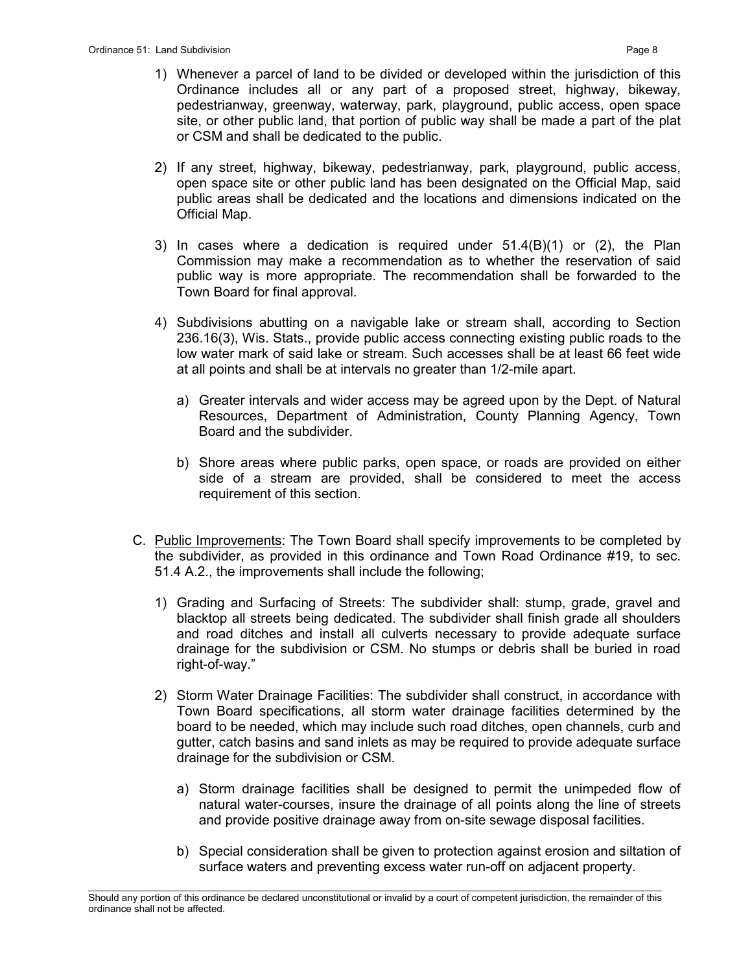- 1) Whenever a parcel of land to be divided or developed within the jurisdiction of this Ordinance includes all or any part of a proposed street, highway, bikeway, pedestrianway, greenway, waterway, park, playground, public access, open space site, or other public land, that portion of public way shall be made a part of the plat or CSM and shall be dedicated to the public.
- 2) If any street, highway, bikeway, pedestrianway, park, playground, public access, open space site or other public land has been designated on the Official Map, said public areas shall be dedicated and the locations and dimensions indicated on the Official Map.
- 3) In cases where a dedication is required under 51.4(B)(1) or (2), the Plan Commission may make a recommendation as to whether the reservation of said public way is more appropriate. The recommendation shall be forwarded to the Town Board for final approval.
- 4) Subdivisions abutting on a navigable lake or stream shall, according to Section 236.16(3), Wis. Stats., provide public access connecting existing public roads to the low water mark of said lake or stream. Such accesses shall be at least 66 feet wide at all points and shall be at intervals no greater than 1/2-mile apart.
	- a) Greater intervals and wider access may be agreed upon by the Dept. of Natural Resources, Department of Administration, County Planning Agency, Town Board and the subdivider.
	- b) Shore areas where public parks, open space, or roads are provided on either side of a stream are provided, shall be considered to meet the access requirement of this section.
- C. Public Improvements: The Town Board shall specify improvements to be completed by the subdivider, as provided in this ordinance and Town Road Ordinance #19, to sec. 51.4 A.2., the improvements shall include the following;
	- 1) Grading and Surfacing of Streets: The subdivider shall: stump, grade, gravel and blacktop all streets being dedicated. The subdivider shall finish grade all shoulders and road ditches and install all culverts necessary to provide adequate surface drainage for the subdivision or CSM. No stumps or debris shall be buried in road right-of-way."
	- 2) Storm Water Drainage Facilities: The subdivider shall construct, in accordance with Town Board specifications, all storm water drainage facilities determined by the board to be needed, which may include such road ditches, open channels, curb and gutter, catch basins and sand inlets as may be required to provide adequate surface drainage for the subdivision or CSM.
		- a) Storm drainage facilities shall be designed to permit the unimpeded flow of natural water-courses, insure the drainage of all points along the line of streets and provide positive drainage away from on-site sewage disposal facilities.
		- b) Special consideration shall be given to protection against erosion and siltation of surface waters and preventing excess water run-off on adjacent property.

\_\_\_\_\_\_\_\_\_\_\_\_\_\_\_\_\_\_\_\_\_\_\_\_\_\_\_\_\_\_\_\_\_\_\_\_\_\_\_\_\_\_\_\_\_\_\_\_\_\_\_\_\_\_\_\_\_\_\_\_\_\_\_\_\_\_\_\_\_\_\_\_\_\_\_\_\_\_\_\_\_\_\_\_\_\_\_\_\_\_\_\_\_\_\_\_\_\_\_\_\_\_\_\_\_ Should any portion of this ordinance be declared unconstitutional or invalid by a court of competent jurisdiction, the remainder of this ordinance shall not be affected.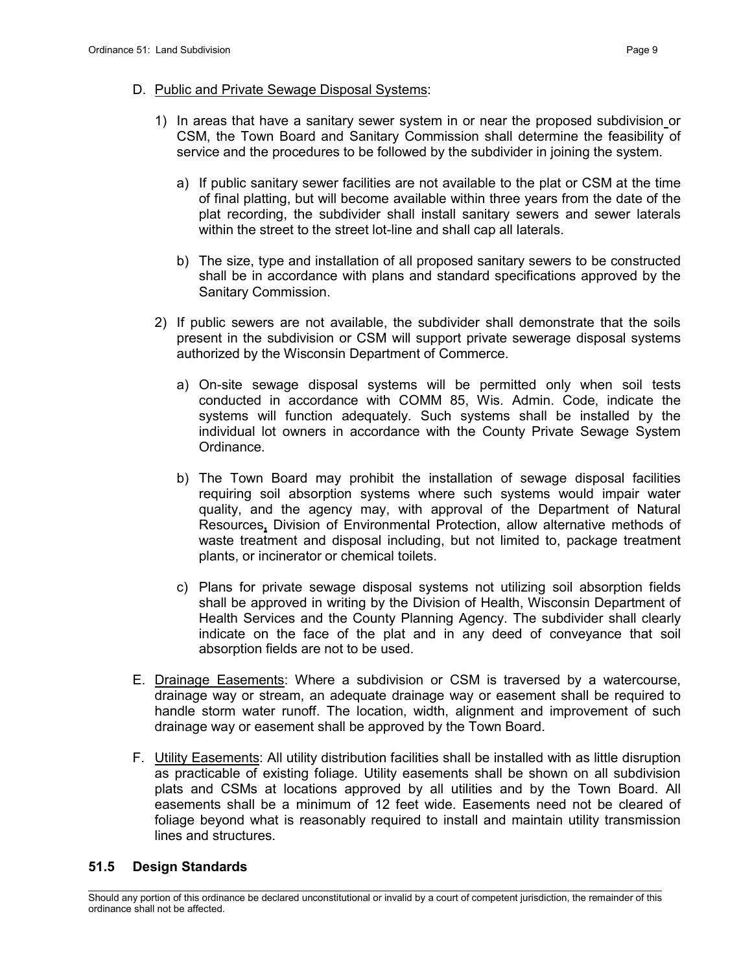- 1) In areas that have a sanitary sewer system in or near the proposed subdivision or CSM, the Town Board and Sanitary Commission shall determine the feasibility of service and the procedures to be followed by the subdivider in joining the system.
	- a) If public sanitary sewer facilities are not available to the plat or CSM at the time of final platting, but will become available within three years from the date of the plat recording, the subdivider shall install sanitary sewers and sewer laterals within the street to the street lot-line and shall cap all laterals.
	- b) The size, type and installation of all proposed sanitary sewers to be constructed shall be in accordance with plans and standard specifications approved by the Sanitary Commission.
- 2) If public sewers are not available, the subdivider shall demonstrate that the soils present in the subdivision or CSM will support private sewerage disposal systems authorized by the Wisconsin Department of Commerce.
	- a) On-site sewage disposal systems will be permitted only when soil tests conducted in accordance with COMM 85, Wis. Admin. Code, indicate the systems will function adequately. Such systems shall be installed by the individual lot owners in accordance with the County Private Sewage System Ordinance.
	- b) The Town Board may prohibit the installation of sewage disposal facilities requiring soil absorption systems where such systems would impair water quality, and the agency may, with approval of the Department of Natural Resources, Division of Environmental Protection, allow alternative methods of waste treatment and disposal including, but not limited to, package treatment plants, or incinerator or chemical toilets.
	- c) Plans for private sewage disposal systems not utilizing soil absorption fields shall be approved in writing by the Division of Health, Wisconsin Department of Health Services and the County Planning Agency. The subdivider shall clearly indicate on the face of the plat and in any deed of conveyance that soil absorption fields are not to be used.
- E. Drainage Easements: Where a subdivision or CSM is traversed by a watercourse, drainage way or stream, an adequate drainage way or easement shall be required to handle storm water runoff. The location, width, alignment and improvement of such drainage way or easement shall be approved by the Town Board.
- F. Utility Easements: All utility distribution facilities shall be installed with as little disruption as practicable of existing foliage. Utility easements shall be shown on all subdivision plats and CSMs at locations approved by all utilities and by the Town Board. All easements shall be a minimum of 12 feet wide. Easements need not be cleared of foliage beyond what is reasonably required to install and maintain utility transmission lines and structures.

## 51.5 Design Standards

\_\_\_\_\_\_\_\_\_\_\_\_\_\_\_\_\_\_\_\_\_\_\_\_\_\_\_\_\_\_\_\_\_\_\_\_\_\_\_\_\_\_\_\_\_\_\_\_\_\_\_\_\_\_\_\_\_\_\_\_\_\_\_\_\_\_\_\_\_\_\_\_\_\_\_\_\_\_\_\_\_\_\_\_\_\_\_\_\_\_\_\_\_\_\_\_\_\_\_\_\_\_\_\_\_ Should any portion of this ordinance be declared unconstitutional or invalid by a court of competent jurisdiction, the remainder of this ordinance shall not be affected.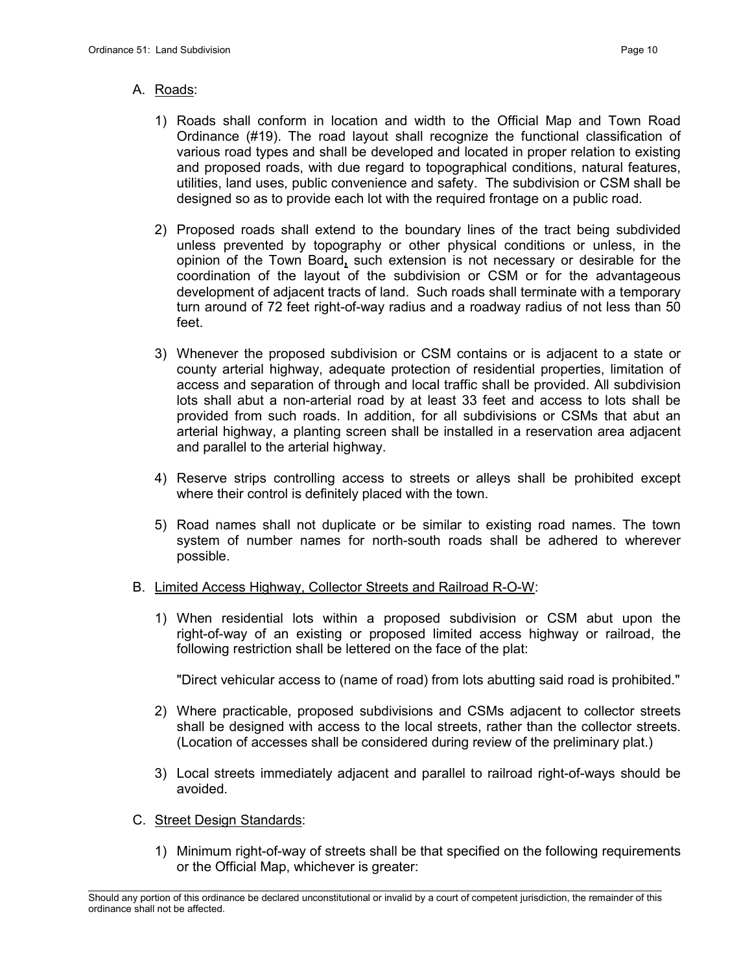# A. Roads:

- 1) Roads shall conform in location and width to the Official Map and Town Road Ordinance (#19). The road layout shall recognize the functional classification of various road types and shall be developed and located in proper relation to existing and proposed roads, with due regard to topographical conditions, natural features, utilities, land uses, public convenience and safety. The subdivision or CSM shall be designed so as to provide each lot with the required frontage on a public road.
- 2) Proposed roads shall extend to the boundary lines of the tract being subdivided unless prevented by topography or other physical conditions or unless, in the opinion of the Town Board, such extension is not necessary or desirable for the coordination of the layout of the subdivision or CSM or for the advantageous development of adjacent tracts of land. Such roads shall terminate with a temporary turn around of 72 feet right-of-way radius and a roadway radius of not less than 50 feet.
- 3) Whenever the proposed subdivision or CSM contains or is adjacent to a state or county arterial highway, adequate protection of residential properties, limitation of access and separation of through and local traffic shall be provided. All subdivision lots shall abut a non-arterial road by at least 33 feet and access to lots shall be provided from such roads. In addition, for all subdivisions or CSMs that abut an arterial highway, a planting screen shall be installed in a reservation area adjacent and parallel to the arterial highway.
- 4) Reserve strips controlling access to streets or alleys shall be prohibited except where their control is definitely placed with the town.
- 5) Road names shall not duplicate or be similar to existing road names. The town system of number names for north-south roads shall be adhered to wherever possible.

## B. Limited Access Highway, Collector Streets and Railroad R-O-W:

1) When residential lots within a proposed subdivision or CSM abut upon the right-of-way of an existing or proposed limited access highway or railroad, the following restriction shall be lettered on the face of the plat:

"Direct vehicular access to (name of road) from lots abutting said road is prohibited."

- 2) Where practicable, proposed subdivisions and CSMs adjacent to collector streets shall be designed with access to the local streets, rather than the collector streets. (Location of accesses shall be considered during review of the preliminary plat.)
- 3) Local streets immediately adjacent and parallel to railroad right-of-ways should be avoided.

## C. Street Design Standards:

1) Minimum right-of-way of streets shall be that specified on the following requirements or the Official Map, whichever is greater:

\_\_\_\_\_\_\_\_\_\_\_\_\_\_\_\_\_\_\_\_\_\_\_\_\_\_\_\_\_\_\_\_\_\_\_\_\_\_\_\_\_\_\_\_\_\_\_\_\_\_\_\_\_\_\_\_\_\_\_\_\_\_\_\_\_\_\_\_\_\_\_\_\_\_\_\_\_\_\_\_\_\_\_\_\_\_\_\_\_\_\_\_\_\_\_\_\_\_\_\_\_\_\_\_\_ Should any portion of this ordinance be declared unconstitutional or invalid by a court of competent jurisdiction, the remainder of this ordinance shall not be affected.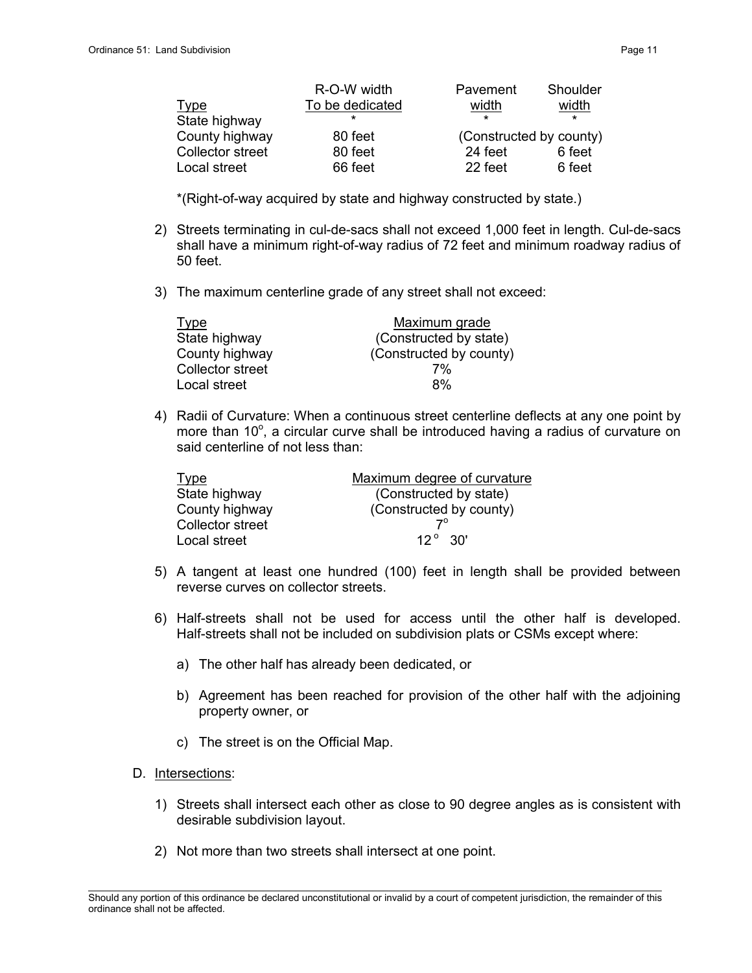|                         | R-O-W width     | Pavement                | Shoulder |
|-------------------------|-----------------|-------------------------|----------|
| <u>Type</u>             | To be dedicated | width                   | width    |
| State highway           | ÷               | $\star$                 | $\star$  |
| County highway          | 80 feet         | (Constructed by county) |          |
| <b>Collector street</b> | 80 feet         | 24 feet                 | 6 feet   |
| Local street            | 66 feet         | 22 feet                 | 6 feet   |

\*(Right-of-way acquired by state and highway constructed by state.)

- 2) Streets terminating in cul-de-sacs shall not exceed 1,000 feet in length. Cul-de-sacs shall have a minimum right-of-way radius of 72 feet and minimum roadway radius of 50 feet.
- 3) The maximum centerline grade of any street shall not exceed:

| <b>Type</b>      | Maximum grade           |
|------------------|-------------------------|
| State highway    | (Constructed by state)  |
| County highway   | (Constructed by county) |
| Collector street | 7%                      |
| Local street     | 8%                      |

4) Radii of Curvature: When a continuous street centerline deflects at any one point by more than 10°, a circular curve shall be introduced having a radius of curvature on said centerline of not less than:

| <b>Type</b>      | Maximum degree of curvature |
|------------------|-----------------------------|
| State highway    | (Constructed by state)      |
| County highway   | (Constructed by county)     |
| Collector street | 70                          |
| Local street     | $12^{\circ}$ 30'            |

- 5) A tangent at least one hundred (100) feet in length shall be provided between reverse curves on collector streets.
- 6) Half-streets shall not be used for access until the other half is developed. Half-streets shall not be included on subdivision plats or CSMs except where:
	- a) The other half has already been dedicated, or
	- b) Agreement has been reached for provision of the other half with the adjoining property owner, or
	- c) The street is on the Official Map.
- D. Intersections:
	- 1) Streets shall intersect each other as close to 90 degree angles as is consistent with desirable subdivision layout.
	- 2) Not more than two streets shall intersect at one point.

\_\_\_\_\_\_\_\_\_\_\_\_\_\_\_\_\_\_\_\_\_\_\_\_\_\_\_\_\_\_\_\_\_\_\_\_\_\_\_\_\_\_\_\_\_\_\_\_\_\_\_\_\_\_\_\_\_\_\_\_\_\_\_\_\_\_\_\_\_\_\_\_\_\_\_\_\_\_\_\_\_\_\_\_\_\_\_\_\_\_\_\_\_\_\_\_\_\_\_\_\_\_\_\_\_ Should any portion of this ordinance be declared unconstitutional or invalid by a court of competent jurisdiction, the remainder of this ordinance shall not be affected.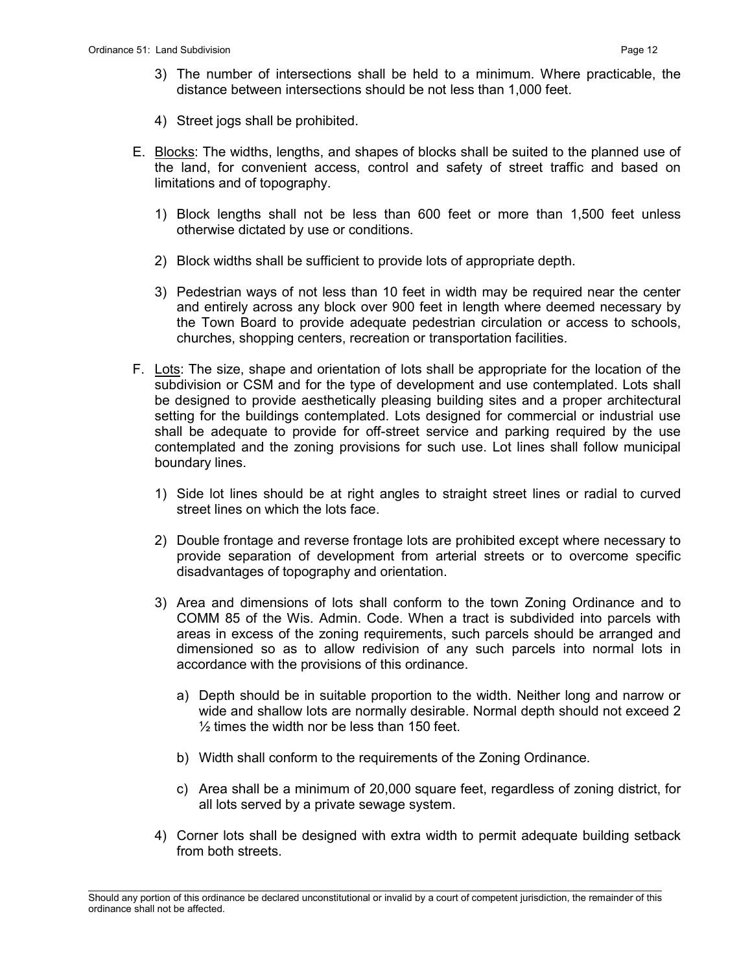- 3) The number of intersections shall be held to a minimum. Where practicable, the distance between intersections should be not less than 1,000 feet.
- 4) Street jogs shall be prohibited.
- E. Blocks: The widths, lengths, and shapes of blocks shall be suited to the planned use of the land, for convenient access, control and safety of street traffic and based on limitations and of topography.
	- 1) Block lengths shall not be less than 600 feet or more than 1,500 feet unless otherwise dictated by use or conditions.
	- 2) Block widths shall be sufficient to provide lots of appropriate depth.
	- 3) Pedestrian ways of not less than 10 feet in width may be required near the center and entirely across any block over 900 feet in length where deemed necessary by the Town Board to provide adequate pedestrian circulation or access to schools, churches, shopping centers, recreation or transportation facilities.
- F. Lots: The size, shape and orientation of lots shall be appropriate for the location of the subdivision or CSM and for the type of development and use contemplated. Lots shall be designed to provide aesthetically pleasing building sites and a proper architectural setting for the buildings contemplated. Lots designed for commercial or industrial use shall be adequate to provide for off-street service and parking required by the use contemplated and the zoning provisions for such use. Lot lines shall follow municipal boundary lines.
	- 1) Side lot lines should be at right angles to straight street lines or radial to curved street lines on which the lots face.
	- 2) Double frontage and reverse frontage lots are prohibited except where necessary to provide separation of development from arterial streets or to overcome specific disadvantages of topography and orientation.
	- 3) Area and dimensions of lots shall conform to the town Zoning Ordinance and to COMM 85 of the Wis. Admin. Code. When a tract is subdivided into parcels with areas in excess of the zoning requirements, such parcels should be arranged and dimensioned so as to allow redivision of any such parcels into normal lots in accordance with the provisions of this ordinance.
		- a) Depth should be in suitable proportion to the width. Neither long and narrow or wide and shallow lots are normally desirable. Normal depth should not exceed 2 ½ times the width nor be less than 150 feet.
		- b) Width shall conform to the requirements of the Zoning Ordinance.
		- c) Area shall be a minimum of 20,000 square feet, regardless of zoning district, for all lots served by a private sewage system.
	- 4) Corner lots shall be designed with extra width to permit adequate building setback from both streets.

\_\_\_\_\_\_\_\_\_\_\_\_\_\_\_\_\_\_\_\_\_\_\_\_\_\_\_\_\_\_\_\_\_\_\_\_\_\_\_\_\_\_\_\_\_\_\_\_\_\_\_\_\_\_\_\_\_\_\_\_\_\_\_\_\_\_\_\_\_\_\_\_\_\_\_\_\_\_\_\_\_\_\_\_\_\_\_\_\_\_\_\_\_\_\_\_\_\_\_\_\_\_\_\_\_ Should any portion of this ordinance be declared unconstitutional or invalid by a court of competent jurisdiction, the remainder of this ordinance shall not be affected.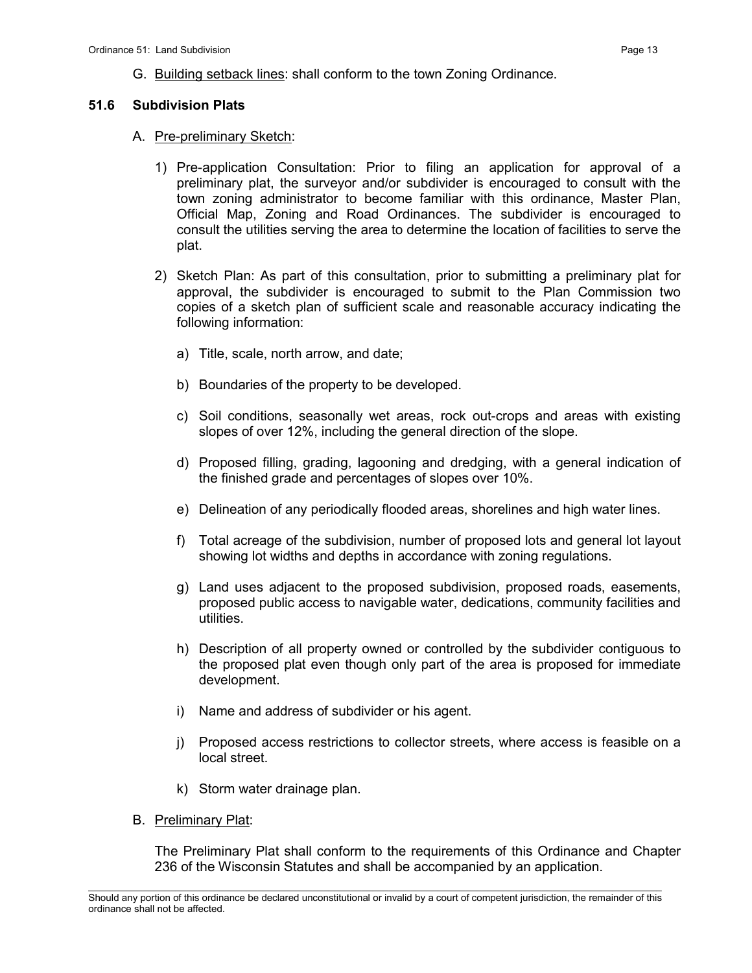G. Building setback lines: shall conform to the town Zoning Ordinance.

#### 51.6 Subdivision Plats

- A. Pre-preliminary Sketch:
	- 1) Pre-application Consultation: Prior to filing an application for approval of a preliminary plat, the surveyor and/or subdivider is encouraged to consult with the town zoning administrator to become familiar with this ordinance, Master Plan, Official Map, Zoning and Road Ordinances. The subdivider is encouraged to consult the utilities serving the area to determine the location of facilities to serve the plat.
	- 2) Sketch Plan: As part of this consultation, prior to submitting a preliminary plat for approval, the subdivider is encouraged to submit to the Plan Commission two copies of a sketch plan of sufficient scale and reasonable accuracy indicating the following information:
		- a) Title, scale, north arrow, and date;
		- b) Boundaries of the property to be developed.
		- c) Soil conditions, seasonally wet areas, rock out-crops and areas with existing slopes of over 12%, including the general direction of the slope.
		- d) Proposed filling, grading, lagooning and dredging, with a general indication of the finished grade and percentages of slopes over 10%.
		- e) Delineation of any periodically flooded areas, shorelines and high water lines.
		- f) Total acreage of the subdivision, number of proposed lots and general lot layout showing lot widths and depths in accordance with zoning regulations.
		- g) Land uses adjacent to the proposed subdivision, proposed roads, easements, proposed public access to navigable water, dedications, community facilities and utilities.
		- h) Description of all property owned or controlled by the subdivider contiguous to the proposed plat even though only part of the area is proposed for immediate development.
		- i) Name and address of subdivider or his agent.
		- j) Proposed access restrictions to collector streets, where access is feasible on a local street.
		- k) Storm water drainage plan.
- B. Preliminary Plat:

The Preliminary Plat shall conform to the requirements of this Ordinance and Chapter 236 of the Wisconsin Statutes and shall be accompanied by an application.

\_\_\_\_\_\_\_\_\_\_\_\_\_\_\_\_\_\_\_\_\_\_\_\_\_\_\_\_\_\_\_\_\_\_\_\_\_\_\_\_\_\_\_\_\_\_\_\_\_\_\_\_\_\_\_\_\_\_\_\_\_\_\_\_\_\_\_\_\_\_\_\_\_\_\_\_\_\_\_\_\_\_\_\_\_\_\_\_\_\_\_\_\_\_\_\_\_\_\_\_\_\_\_\_\_ Should any portion of this ordinance be declared unconstitutional or invalid by a court of competent jurisdiction, the remainder of this ordinance shall not be affected.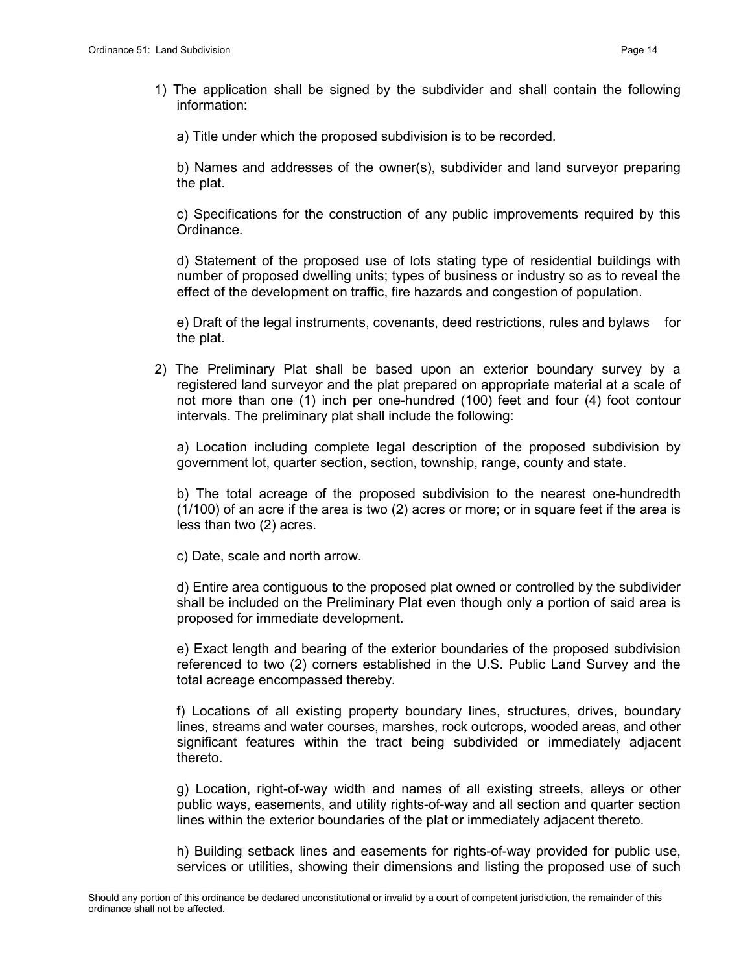- 1) The application shall be signed by the subdivider and shall contain the following information:
	- a) Title under which the proposed subdivision is to be recorded.

b) Names and addresses of the owner(s), subdivider and land surveyor preparing the plat.

c) Specifications for the construction of any public improvements required by this Ordinance.

d) Statement of the proposed use of lots stating type of residential buildings with number of proposed dwelling units; types of business or industry so as to reveal the effect of the development on traffic, fire hazards and congestion of population.

e) Draft of the legal instruments, covenants, deed restrictions, rules and bylaws for the plat.

2) The Preliminary Plat shall be based upon an exterior boundary survey by a registered land surveyor and the plat prepared on appropriate material at a scale of not more than one (1) inch per one-hundred (100) feet and four (4) foot contour intervals. The preliminary plat shall include the following:

a) Location including complete legal description of the proposed subdivision by government lot, quarter section, section, township, range, county and state.

b) The total acreage of the proposed subdivision to the nearest one-hundredth (1/100) of an acre if the area is two (2) acres or more; or in square feet if the area is less than two (2) acres.

c) Date, scale and north arrow.

d) Entire area contiguous to the proposed plat owned or controlled by the subdivider shall be included on the Preliminary Plat even though only a portion of said area is proposed for immediate development.

e) Exact length and bearing of the exterior boundaries of the proposed subdivision referenced to two (2) corners established in the U.S. Public Land Survey and the total acreage encompassed thereby.

f) Locations of all existing property boundary lines, structures, drives, boundary lines, streams and water courses, marshes, rock outcrops, wooded areas, and other significant features within the tract being subdivided or immediately adjacent thereto.

g) Location, right-of-way width and names of all existing streets, alleys or other public ways, easements, and utility rights-of-way and all section and quarter section lines within the exterior boundaries of the plat or immediately adjacent thereto.

h) Building setback lines and easements for rights-of-way provided for public use, services or utilities, showing their dimensions and listing the proposed use of such

\_\_\_\_\_\_\_\_\_\_\_\_\_\_\_\_\_\_\_\_\_\_\_\_\_\_\_\_\_\_\_\_\_\_\_\_\_\_\_\_\_\_\_\_\_\_\_\_\_\_\_\_\_\_\_\_\_\_\_\_\_\_\_\_\_\_\_\_\_\_\_\_\_\_\_\_\_\_\_\_\_\_\_\_\_\_\_\_\_\_\_\_\_\_\_\_\_\_\_\_\_\_\_\_\_ Should any portion of this ordinance be declared unconstitutional or invalid by a court of competent jurisdiction, the remainder of this ordinance shall not be affected.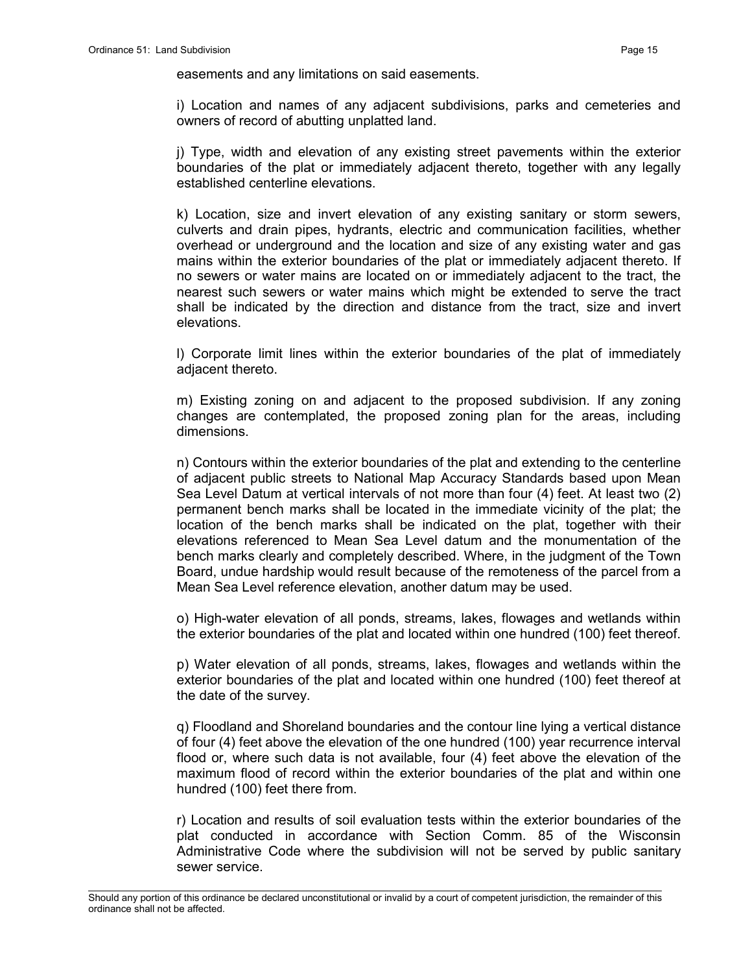easements and any limitations on said easements.

i) Location and names of any adjacent subdivisions, parks and cemeteries and owners of record of abutting unplatted land.

j) Type, width and elevation of any existing street pavements within the exterior boundaries of the plat or immediately adjacent thereto, together with any legally established centerline elevations.

k) Location, size and invert elevation of any existing sanitary or storm sewers, culverts and drain pipes, hydrants, electric and communication facilities, whether overhead or underground and the location and size of any existing water and gas mains within the exterior boundaries of the plat or immediately adjacent thereto. If no sewers or water mains are located on or immediately adjacent to the tract, the nearest such sewers or water mains which might be extended to serve the tract shall be indicated by the direction and distance from the tract, size and invert elevations.

l) Corporate limit lines within the exterior boundaries of the plat of immediately adjacent thereto.

m) Existing zoning on and adjacent to the proposed subdivision. If any zoning changes are contemplated, the proposed zoning plan for the areas, including dimensions.

n) Contours within the exterior boundaries of the plat and extending to the centerline of adjacent public streets to National Map Accuracy Standards based upon Mean Sea Level Datum at vertical intervals of not more than four (4) feet. At least two (2) permanent bench marks shall be located in the immediate vicinity of the plat; the location of the bench marks shall be indicated on the plat, together with their elevations referenced to Mean Sea Level datum and the monumentation of the bench marks clearly and completely described. Where, in the judgment of the Town Board, undue hardship would result because of the remoteness of the parcel from a Mean Sea Level reference elevation, another datum may be used.

o) High-water elevation of all ponds, streams, lakes, flowages and wetlands within the exterior boundaries of the plat and located within one hundred (100) feet thereof.

p) Water elevation of all ponds, streams, lakes, flowages and wetlands within the exterior boundaries of the plat and located within one hundred (100) feet thereof at the date of the survey.

q) Floodland and Shoreland boundaries and the contour line lying a vertical distance of four (4) feet above the elevation of the one hundred (100) year recurrence interval flood or, where such data is not available, four (4) feet above the elevation of the maximum flood of record within the exterior boundaries of the plat and within one hundred (100) feet there from.

r) Location and results of soil evaluation tests within the exterior boundaries of the plat conducted in accordance with Section Comm. 85 of the Wisconsin Administrative Code where the subdivision will not be served by public sanitary sewer service.

\_\_\_\_\_\_\_\_\_\_\_\_\_\_\_\_\_\_\_\_\_\_\_\_\_\_\_\_\_\_\_\_\_\_\_\_\_\_\_\_\_\_\_\_\_\_\_\_\_\_\_\_\_\_\_\_\_\_\_\_\_\_\_\_\_\_\_\_\_\_\_\_\_\_\_\_\_\_\_\_\_\_\_\_\_\_\_\_\_\_\_\_\_\_\_\_\_\_\_\_\_\_\_\_\_ Should any portion of this ordinance be declared unconstitutional or invalid by a court of competent jurisdiction, the remainder of this ordinance shall not be affected.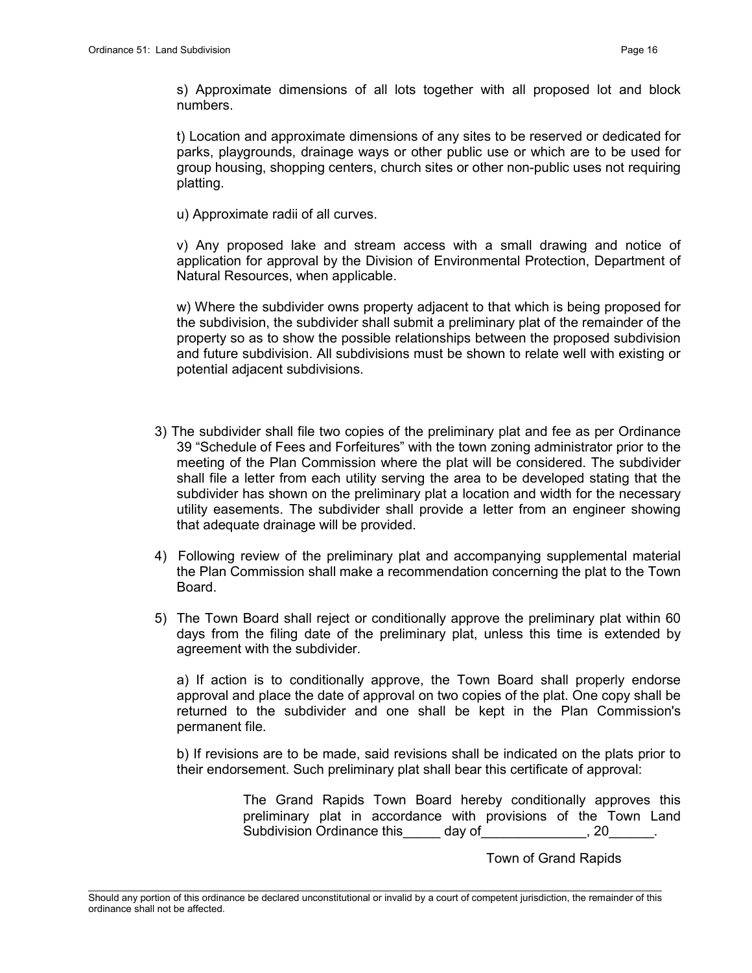s) Approximate dimensions of all lots together with all proposed lot and block numbers.

t) Location and approximate dimensions of any sites to be reserved or dedicated for parks, playgrounds, drainage ways or other public use or which are to be used for group housing, shopping centers, church sites or other non-public uses not requiring platting.

u) Approximate radii of all curves.

v) Any proposed lake and stream access with a small drawing and notice of application for approval by the Division of Environmental Protection, Department of Natural Resources, when applicable.

w) Where the subdivider owns property adjacent to that which is being proposed for the subdivision, the subdivider shall submit a preliminary plat of the remainder of the property so as to show the possible relationships between the proposed subdivision and future subdivision. All subdivisions must be shown to relate well with existing or potential adjacent subdivisions.

- 3) The subdivider shall file two copies of the preliminary plat and fee as per Ordinance 39 "Schedule of Fees and Forfeitures" with the town zoning administrator prior to the meeting of the Plan Commission where the plat will be considered. The subdivider shall file a letter from each utility serving the area to be developed stating that the subdivider has shown on the preliminary plat a location and width for the necessary utility easements. The subdivider shall provide a letter from an engineer showing that adequate drainage will be provided.
- 4) Following review of the preliminary plat and accompanying supplemental material the Plan Commission shall make a recommendation concerning the plat to the Town Board.
- 5) The Town Board shall reject or conditionally approve the preliminary plat within 60 days from the filing date of the preliminary plat, unless this time is extended by agreement with the subdivider.

a) If action is to conditionally approve, the Town Board shall properly endorse approval and place the date of approval on two copies of the plat. One copy shall be returned to the subdivider and one shall be kept in the Plan Commission's permanent file.

b) If revisions are to be made, said revisions shall be indicated on the plats prior to their endorsement. Such preliminary plat shall bear this certificate of approval:

> The Grand Rapids Town Board hereby conditionally approves this preliminary plat in accordance with provisions of the Town Land Subdivision Ordinance this day of the set of the set of the set of the set of the set of the set of the set of t

> > Town of Grand Rapids

\_\_\_\_\_\_\_\_\_\_\_\_\_\_\_\_\_\_\_\_\_\_\_\_\_\_\_\_\_\_\_\_\_\_\_\_\_\_\_\_\_\_\_\_\_\_\_\_\_\_\_\_\_\_\_\_\_\_\_\_\_\_\_\_\_\_\_\_\_\_\_\_\_\_\_\_\_\_\_\_\_\_\_\_\_\_\_\_\_\_\_\_\_\_\_\_\_\_\_\_\_\_\_\_\_ Should any portion of this ordinance be declared unconstitutional or invalid by a court of competent jurisdiction, the remainder of this ordinance shall not be affected.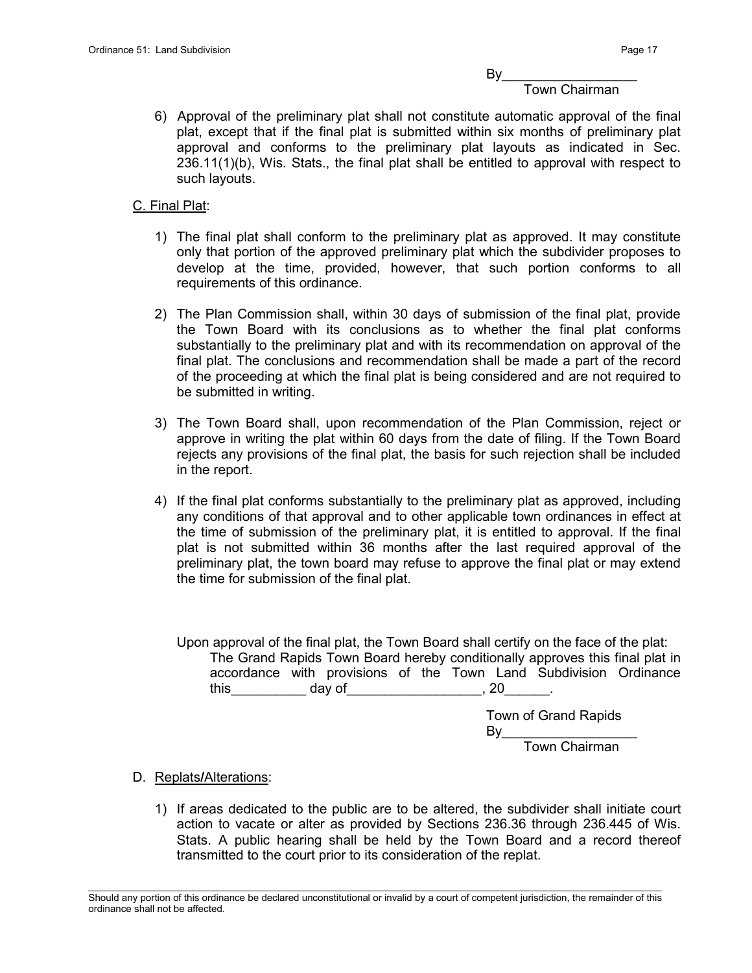$By_$ 

#### Town Chairman

6) Approval of the preliminary plat shall not constitute automatic approval of the final plat, except that if the final plat is submitted within six months of preliminary plat approval and conforms to the preliminary plat layouts as indicated in Sec. 236.11(1)(b), Wis. Stats., the final plat shall be entitled to approval with respect to such layouts.

#### C. Final Plat:

- 1) The final plat shall conform to the preliminary plat as approved. It may constitute only that portion of the approved preliminary plat which the subdivider proposes to develop at the time, provided, however, that such portion conforms to all requirements of this ordinance.
- 2) The Plan Commission shall, within 30 days of submission of the final plat, provide the Town Board with its conclusions as to whether the final plat conforms substantially to the preliminary plat and with its recommendation on approval of the final plat. The conclusions and recommendation shall be made a part of the record of the proceeding at which the final plat is being considered and are not required to be submitted in writing.
- 3) The Town Board shall, upon recommendation of the Plan Commission, reject or approve in writing the plat within 60 days from the date of filing. If the Town Board rejects any provisions of the final plat, the basis for such rejection shall be included in the report.
- 4) If the final plat conforms substantially to the preliminary plat as approved, including any conditions of that approval and to other applicable town ordinances in effect at the time of submission of the preliminary plat, it is entitled to approval. If the final plat is not submitted within 36 months after the last required approval of the preliminary plat, the town board may refuse to approve the final plat or may extend the time for submission of the final plat.

Upon approval of the final plat, the Town Board shall certify on the face of the plat: The Grand Rapids Town Board hereby conditionally approves this final plat in accordance with provisions of the Town Land Subdivision Ordinance this day of this day of this  $\sim$  0.20 and  $\sim$  0.20 and 0.20 cm  $\sim$  0.20 cm  $\sim$  0.20 cm  $\sim$  0.20 cm  $\sim$  0.20 cm  $\sim$  0.20 cm  $\sim$  0.20 cm  $\sim$  0.20 cm  $\sim$  0.20 cm  $\sim$  0.20 cm  $\sim$  0.20 cm  $\sim$  0.20 cm  $\sim$  0.20 cm

> Town of Grand Rapids By\_\_\_\_\_\_\_\_\_\_\_\_\_\_\_\_\_\_ Town Chairman

- D. Replats/Alterations:
	- 1) If areas dedicated to the public are to be altered, the subdivider shall initiate court action to vacate or alter as provided by Sections 236.36 through 236.445 of Wis. Stats. A public hearing shall be held by the Town Board and a record thereof transmitted to the court prior to its consideration of the replat.

\_\_\_\_\_\_\_\_\_\_\_\_\_\_\_\_\_\_\_\_\_\_\_\_\_\_\_\_\_\_\_\_\_\_\_\_\_\_\_\_\_\_\_\_\_\_\_\_\_\_\_\_\_\_\_\_\_\_\_\_\_\_\_\_\_\_\_\_\_\_\_\_\_\_\_\_\_\_\_\_\_\_\_\_\_\_\_\_\_\_\_\_\_\_\_\_\_\_\_\_\_\_\_\_\_ Should any portion of this ordinance be declared unconstitutional or invalid by a court of competent jurisdiction, the remainder of this ordinance shall not be affected.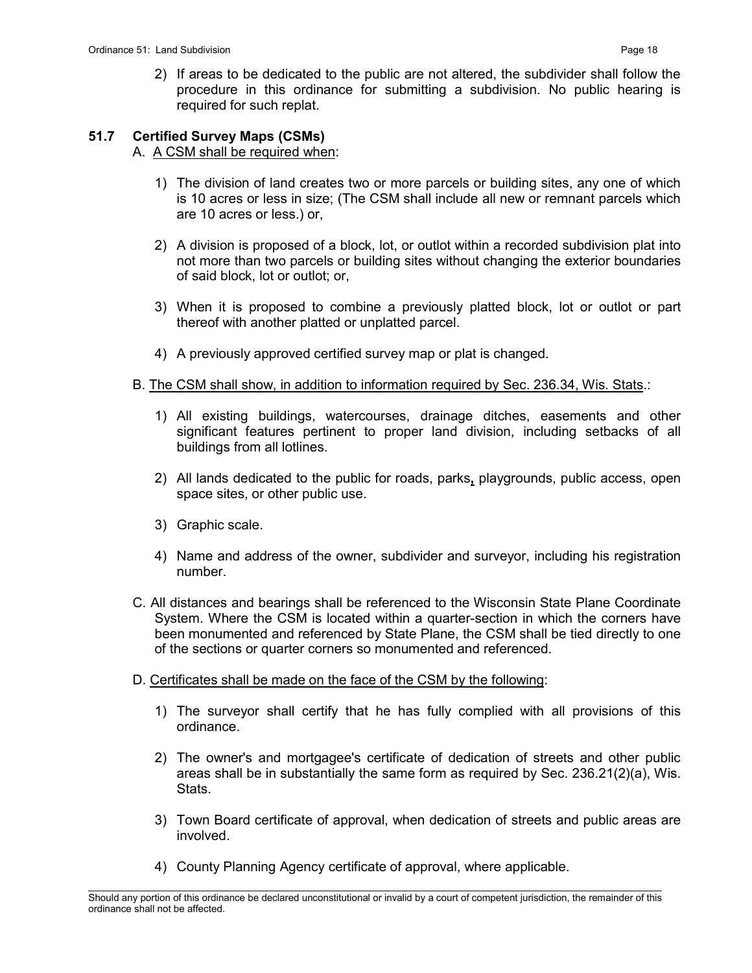# 51.7 Certified Survey Maps (CSMs)

## A. A CSM shall be required when:

- 1) The division of land creates two or more parcels or building sites, any one of which is 10 acres or less in size; (The CSM shall include all new or remnant parcels which are 10 acres or less.) or,
- 2) A division is proposed of a block, lot, or outlot within a recorded subdivision plat into not more than two parcels or building sites without changing the exterior boundaries of said block, lot or outlot; or,
- 3) When it is proposed to combine a previously platted block, lot or outlot or part thereof with another platted or unplatted parcel.
- 4) A previously approved certified survey map or plat is changed.

## B. The CSM shall show, in addition to information required by Sec. 236.34, Wis. Stats.:

- 1) All existing buildings, watercourses, drainage ditches, easements and other significant features pertinent to proper land division, including setbacks of all buildings from all lotlines.
- 2) All lands dedicated to the public for roads, parks, playgrounds, public access, open space sites, or other public use.
- 3) Graphic scale.
- 4) Name and address of the owner, subdivider and surveyor, including his registration number.
- C. All distances and bearings shall be referenced to the Wisconsin State Plane Coordinate System. Where the CSM is located within a quarter-section in which the corners have been monumented and referenced by State Plane, the CSM shall be tied directly to one of the sections or quarter corners so monumented and referenced.
- D. Certificates shall be made on the face of the CSM by the following:
	- 1) The surveyor shall certify that he has fully complied with all provisions of this ordinance.
	- 2) The owner's and mortgagee's certificate of dedication of streets and other public areas shall be in substantially the same form as required by Sec. 236.21(2)(a), Wis. Stats.
	- 3) Town Board certificate of approval, when dedication of streets and public areas are involved.
	- 4) County Planning Agency certificate of approval, where applicable.

\_\_\_\_\_\_\_\_\_\_\_\_\_\_\_\_\_\_\_\_\_\_\_\_\_\_\_\_\_\_\_\_\_\_\_\_\_\_\_\_\_\_\_\_\_\_\_\_\_\_\_\_\_\_\_\_\_\_\_\_\_\_\_\_\_\_\_\_\_\_\_\_\_\_\_\_\_\_\_\_\_\_\_\_\_\_\_\_\_\_\_\_\_\_\_\_\_\_\_\_\_\_\_\_\_ Should any portion of this ordinance be declared unconstitutional or invalid by a court of competent jurisdiction, the remainder of this ordinance shall not be affected.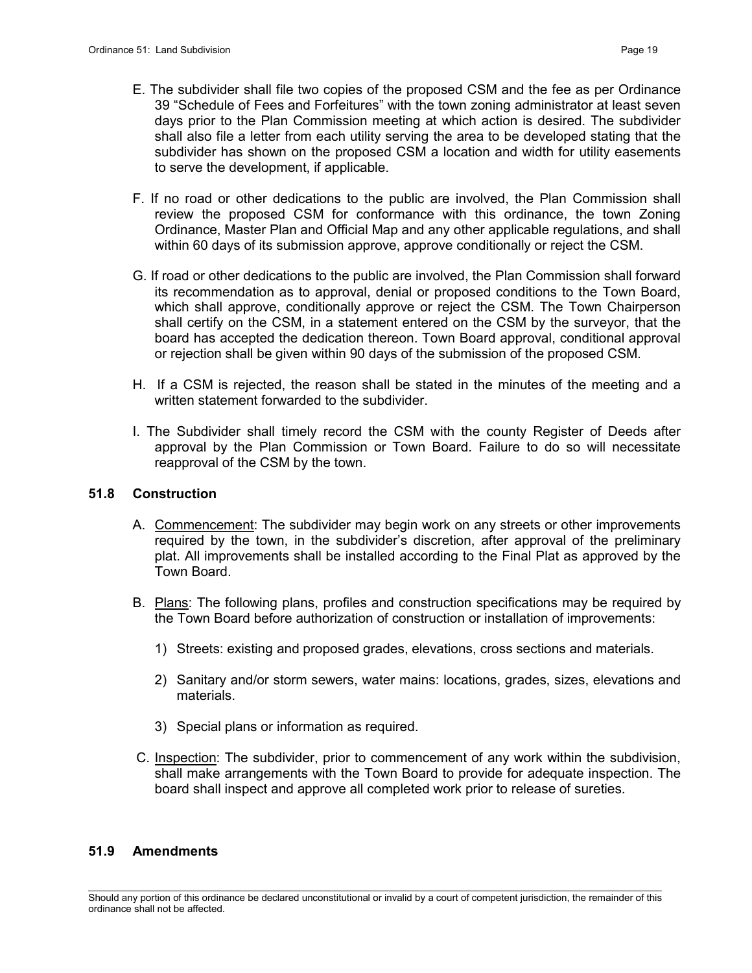- E. The subdivider shall file two copies of the proposed CSM and the fee as per Ordinance 39 "Schedule of Fees and Forfeitures" with the town zoning administrator at least seven days prior to the Plan Commission meeting at which action is desired. The subdivider shall also file a letter from each utility serving the area to be developed stating that the subdivider has shown on the proposed CSM a location and width for utility easements to serve the development, if applicable.
- F. If no road or other dedications to the public are involved, the Plan Commission shall review the proposed CSM for conformance with this ordinance, the town Zoning Ordinance, Master Plan and Official Map and any other applicable regulations, and shall within 60 days of its submission approve, approve conditionally or reject the CSM.
- G. If road or other dedications to the public are involved, the Plan Commission shall forward its recommendation as to approval, denial or proposed conditions to the Town Board, which shall approve, conditionally approve or reject the CSM. The Town Chairperson shall certify on the CSM, in a statement entered on the CSM by the surveyor, that the board has accepted the dedication thereon. Town Board approval, conditional approval or rejection shall be given within 90 days of the submission of the proposed CSM.
- H. If a CSM is rejected, the reason shall be stated in the minutes of the meeting and a written statement forwarded to the subdivider.
- I. The Subdivider shall timely record the CSM with the county Register of Deeds after approval by the Plan Commission or Town Board. Failure to do so will necessitate reapproval of the CSM by the town.

### 51.8 Construction

- A. Commencement: The subdivider may begin work on any streets or other improvements required by the town, in the subdivider's discretion, after approval of the preliminary plat. All improvements shall be installed according to the Final Plat as approved by the Town Board.
- B. Plans: The following plans, profiles and construction specifications may be required by the Town Board before authorization of construction or installation of improvements:
	- 1) Streets: existing and proposed grades, elevations, cross sections and materials.
	- 2) Sanitary and/or storm sewers, water mains: locations, grades, sizes, elevations and materials.
	- 3) Special plans or information as required.
- C. Inspection: The subdivider, prior to commencement of any work within the subdivision, shall make arrangements with the Town Board to provide for adequate inspection. The board shall inspect and approve all completed work prior to release of sureties.

### 51.9 Amendments

\_\_\_\_\_\_\_\_\_\_\_\_\_\_\_\_\_\_\_\_\_\_\_\_\_\_\_\_\_\_\_\_\_\_\_\_\_\_\_\_\_\_\_\_\_\_\_\_\_\_\_\_\_\_\_\_\_\_\_\_\_\_\_\_\_\_\_\_\_\_\_\_\_\_\_\_\_\_\_\_\_\_\_\_\_\_\_\_\_\_\_\_\_\_\_\_\_\_\_\_\_\_\_\_\_ Should any portion of this ordinance be declared unconstitutional or invalid by a court of competent jurisdiction, the remainder of this ordinance shall not be affected.